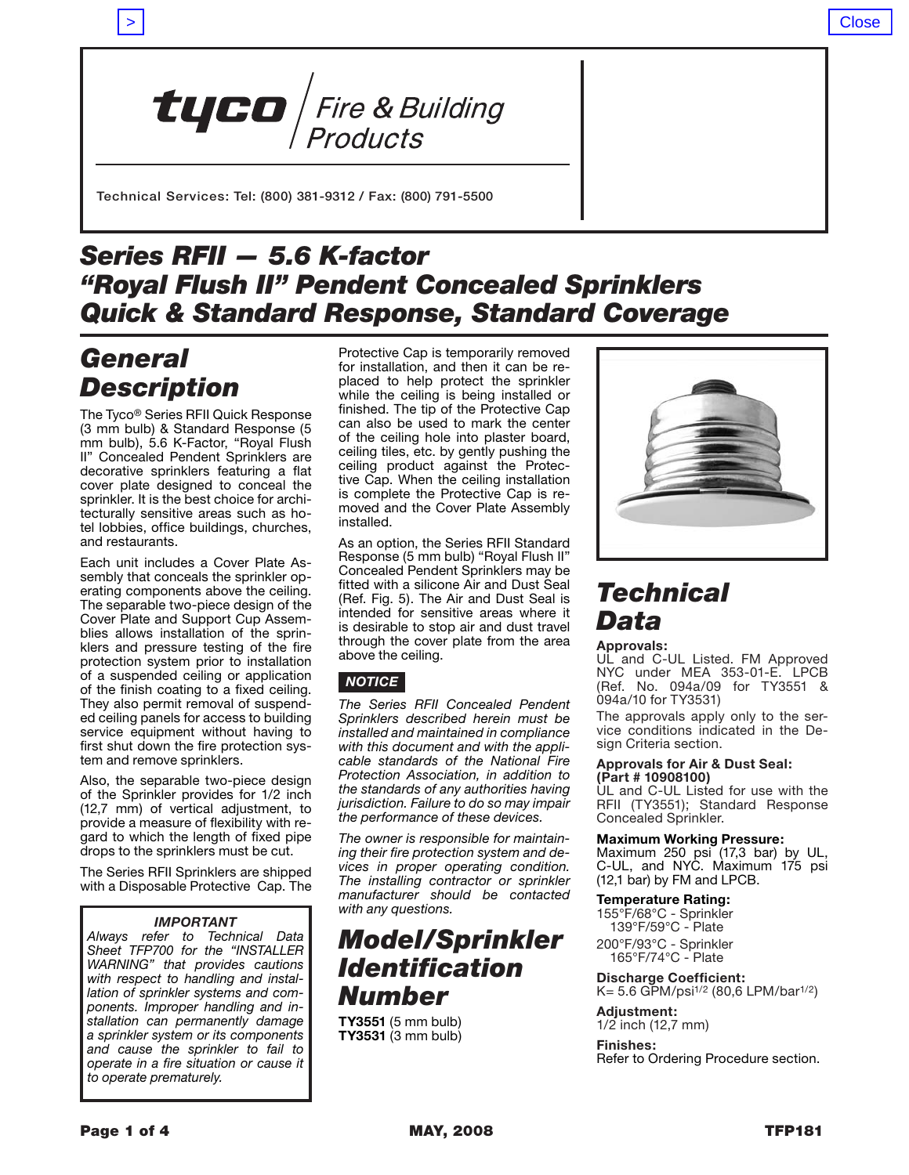> Close



Technical Services: Tel: (800) 381-9312 / Fax: (800) 791-5500

# *Series RFII — 5.6 K-factor "Royal Flush II" Pendent Concealed Sprinklers Quick & Standard Response, Standard Coverage*

# *General Description*

The Tyco® Series RFII Quick Response (3 mm bulb) & Standard Response (5 mm bulb), 5.6 K-Factor, "Royal Flush II" Concealed Pendent Sprinklers are decorative sprinklers featuring a flat cover plate designed to conceal the sprinkler. It is the best choice for architecturally sensitive areas such as hotel lobbies, office buildings, churches, and restaurants.

Each unit includes a Cover Plate Assembly that conceals the sprinkler operating components above the ceiling. The separable two-piece design of the Cover Plate and Support Cup Assemblies allows installation of the sprinklers and pressure testing of the fire protection system prior to installation of a suspended ceiling or application of the finish coating to a fixed ceiling. They also permit removal of suspended ceiling panels for access to building service equipment without having to first shut down the fire protection system and remove sprinklers.

Also, the separable two-piece design of the Sprinkler provides for 1/2 inch (12,7 mm) of vertical adjustment, to provide a measure of flexibility with regard to which the length of fixed pipe drops to the sprinklers must be cut.

The Series RFII Sprinklers are shipped with a Disposable Protective Cap. The

### *IMPORTANT*

*Always refer to Technical Data Sheet TFP700 for the "INSTALLER WARNING" that provides cautions with respect to handling and installation of sprinkler systems and components. Improper handling and installation can permanently damage a sprinkler system or its components and cause the sprinkler to fail to operate in a fire situation or cause it to operate prematurely.*

Protective Cap is temporarily removed for installation, and then it can be replaced to help protect the sprinkler while the ceiling is being installed or finished. The tip of the Protective Cap can also be used to mark the center of the ceiling hole into plaster board, ceiling tiles, etc. by gently pushing the ceiling product against the Protective Cap. When the ceiling installation is complete the Protective Cap is removed and the Cover Plate Assembly installed.

As an option, the Series RFII Standard Response (5 mm bulb) "Royal Flush II" Concealed Pendent Sprinklers may be fitted with a silicone Air and Dust Seal (Ref. Fig. 5). The Air and Dust Seal is intended for sensitive areas where it is desirable to stop air and dust travel through the cover plate from the area above the ceiling.

### *notice*

*The Series RFII Concealed Pendent Sprinklers described herein must be installed and maintained in compliance with this document and with the applicable standards of the National Fire Protection Association, in addition to the standards of any authorities having jurisdiction. Failure to do so may impair the performance of these devices.*

*The owner is responsible for maintaining their fire protection system and devices in proper operating condition. The installing contractor or sprinkler manufacturer should be contacted with any questions.* 

# *Model/Sprinkler Identification Number*

**TY3551** (5 mm bulb) **TY3531** (3 mm bulb)



# *Technical Data*

#### **Approvals:**

UL and C-UL Listed. FM Approved NYC under MEA 353-01-E. LPCB (Ref. No. 094a/09 for TY3551 & 094a/10 for TY3531)

The approvals apply only to the service conditions indicated in the Design Criteria section.

#### **Approvals for Air & Dust Seal: (Part # 10908100)**

UL and C-UL Listed for use with the RFII (TY3551); Standard Response Concealed Sprinkler.

#### **Maximum Working Pressure:**

Maximum 250 psi (17,3 bar) by UL, C-UL, and NYC. Maximum 175 psi (12,1 bar) by FM and LPCB.

#### **Temperature Rating:**

155°F/68°C - Sprinkler 139°F/59°C - Plate

200°F/93°C - Sprinkler 165°F/74°C - Plate

**Discharge Coefficient:**  K= 5.6 GPM/psi1/2 (80,6 LPM/bar1/2)

**Adjustment:**  1/2 inch (12,7 mm)

**Finishes:**  Refer to Ordering Procedure section.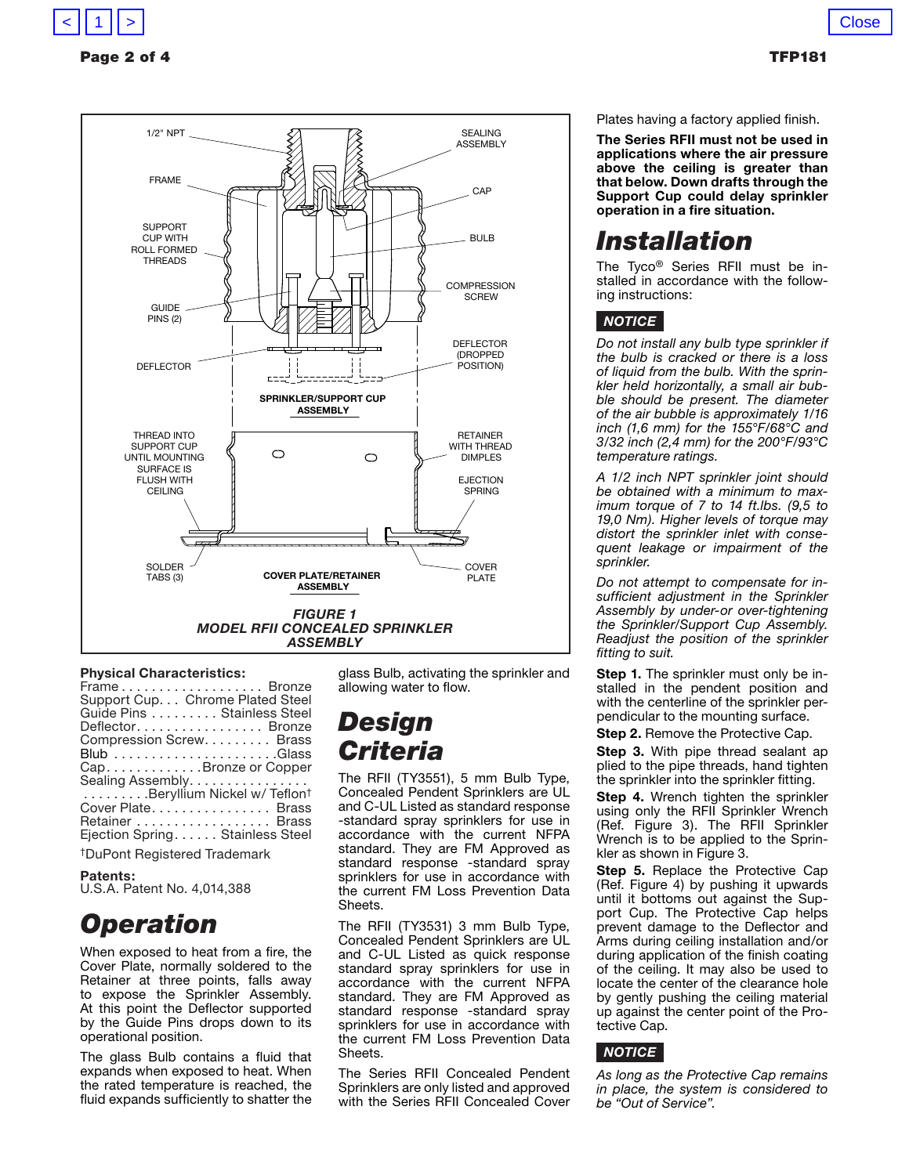

### Page 2 of 4 TFP181



### **Physical Characteristics:**

| Frame Bronze                     |
|----------------------------------|
| Support Cup. Chrome Plated Steel |
| Guide Pins Stainless Steel       |
| Deflector Bronze                 |
| Compression Screw. Brass         |
|                                  |
| Cap. Bronze or Copper            |
| Sealing Assembly                 |
| Beryllium Nickel w/Teflont       |
| Cover Plate Brass                |
| Retainer Brass                   |
| Ejection Spring. Stainless Steel |

†DuPont Registered Trademark

### **Patents:**

U.S.A. Patent No. 4,014,388

# *Operation*

When exposed to heat from a fire, the Cover Plate, normally soldered to the Retainer at three points, falls away to expose the Sprinkler Assembly. At this point the Deflector supported by the Guide Pins drops down to its operational position.

The glass Bulb contains a fluid that expands when exposed to heat. When the rated temperature is reached, the fluid expands sufficiently to shatter the

glass Bulb, activating the sprinkler and allowing water to flow.

# *Design Criteria*

The RFII (TY3551), 5 mm Bulb Type, Concealed Pendent Sprinklers are UL and C-UL Listed as standard response -standard spray sprinklers for use in accordance with the current NFPA standard. They are FM Approved as standard response -standard spray sprinklers for use in accordance with the current FM Loss Prevention Data Sheets.

The RFII (TY3531) 3 mm Bulb Type, Concealed Pendent Sprinklers are UL and C-UL Listed as quick response standard spray sprinklers for use in accordance with the current NFPA standard. They are FM Approved as standard response -standard spray sprinklers for use in accordance with the current FM Loss Prevention Data Sheets.

The Series RFII Concealed Pendent Sprinklers are only listed and approved with the Series RFII Concealed Cover Plates having a factory applied finish.

**The Series RFII must not be used in applications where the air pressure above the ceiling is greater than that below. Down drafts through the Support Cup could delay sprinkler operation in a fire situation.** 

# *Installation*

The Tyco® Series RFII must be installed in accordance with the following instructions:

### *notice*

*Do not install any bulb type sprinkler if the bulb is cracked or there is a loss of liquid from the bulb. With the sprinkler held horizontally, a small air bubble should be present. The diameter of the air bubble is approximately 1/16 inch (1,6 mm) for the 155°F/68°C and 3/32 inch (2,4 mm) for the 200°F/93°C temperature ratings.*

*A 1/2 inch NPT sprinkler joint should be obtained with a minimum to maximum torque of 7 to 14 ft.lbs. (9,5 to 19,0 Nm). Higher levels of torque may distort the sprinkler inlet with consequent leakage or impairment of the sprinkler.*

*Do not attempt to compensate for insufficient adjustment in the Sprinkler Assembly by under-or over-tightening the Sprinkler/Support Cup Assembly. Readjust the position of the sprinkler fitting to suit.*

**Step 1.** The sprinkler must only be installed in the pendent position and with the centerline of the sprinkler perpendicular to the mounting surface.

**Step 2.** Remove the Protective Cap.

**Step 3.** With pipe thread sealant ap plied to the pipe threads, hand tighten the sprinkler into the sprinkler fitting.

**Step 4.** Wrench tighten the sprinkler using only the RFII Sprinkler Wrench (Ref. Figure 3). The RFII Sprinkler Wrench is to be applied to the Sprinkler as shown in Figure 3.

**Step 5.** Replace the Protective Cap (Ref. Figure 4) by pushing it upwards until it bottoms out against the Support Cup. The Protective Cap helps prevent damage to the Deflector and Arms during ceiling installation and/or during application of the finish coating of the ceiling. It may also be used to locate the center of the clearance hole by gently pushing the ceiling material up against the center point of the Protective Cap.

### *notice*

*As long as the Protective Cap remains in place, the system is considered to be "Out of Service".*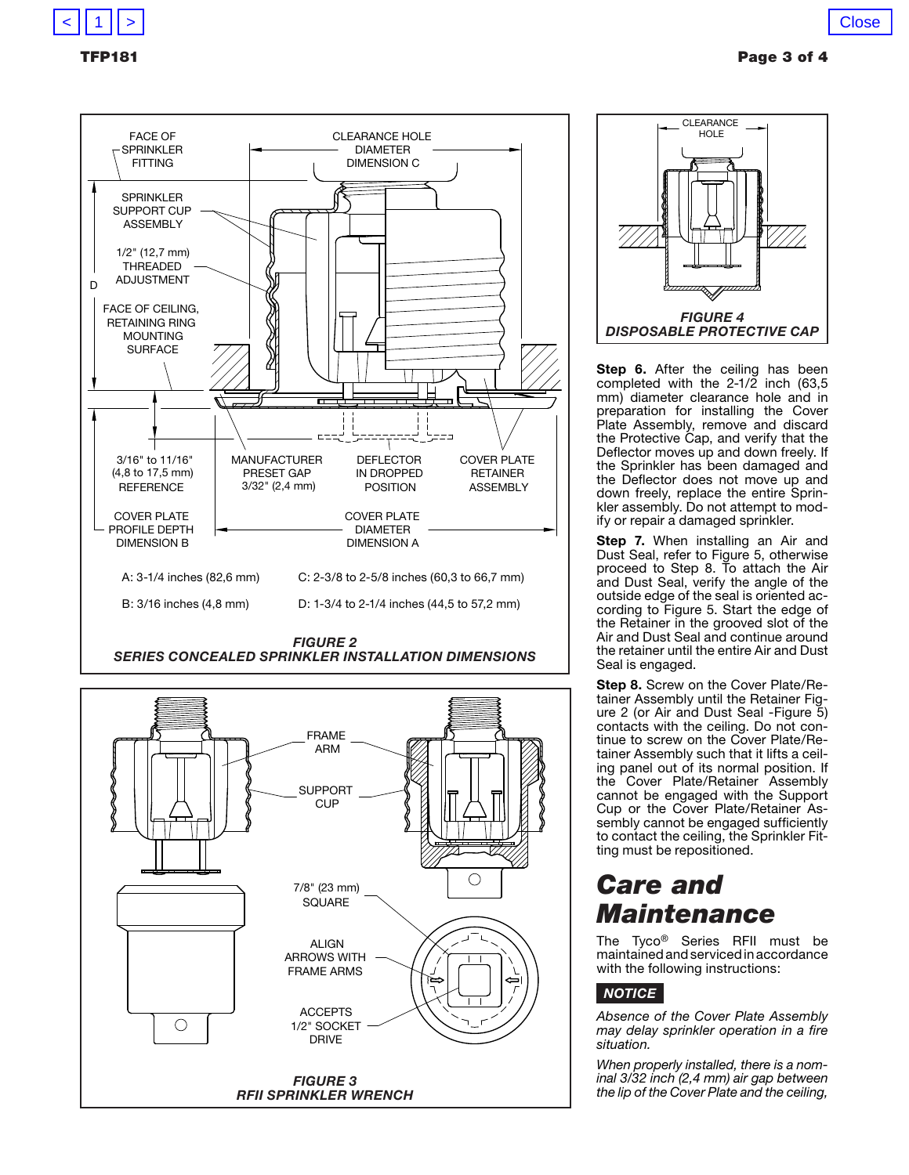



*series concealed SPRINKLER INSTALLATION DIMENSIONS*





Step 6. After the ceiling has been completed with the  $2-1/2$  inch (63,5) mm) diameter clearance hole and in preparation for installing the Cover Plate Assembly, remove and discard the Protective Cap, and verify that the Deflector moves up and down freely. If the Sprinkler has been damaged and the Deflector does not move up and down freely, replace the entire Sprinkler assembly. Do not attempt to modify or repair a damaged sprinkler.

**Step 7.** When installing an Air and Dust Seal, refer to Figure 5, otherwise proceed to Step 8. To attach the Air and Dust Seal, verify the angle of the outside edge of the seal is oriented according to Figure 5. Start the edge of the Retainer in the grooved slot of the Air and Dust Seal and continue around the retainer until the entire Air and Dust Seal is engaged.

**Step 8.** Screw on the Cover Plate/Retainer Assembly until the Retainer Figure 2 (or Air and Dust Seal -Figure 5) contacts with the ceiling. Do not continue to screw on the Cover Plate/Retainer Assembly such that it lifts a ceiling panel out of its normal position. If the Cover Plate/Retainer Assembly cannot be engaged with the Support Cup or the Cover Plate/Retainer Assembly cannot be engaged sufficiently to contact the ceiling, the Sprinkler Fitting must be repositioned.

# *Care and Maintenance*

The Tyco® Series RFII must be maintained and serviced in accordance with the following instructions:

### *notice*

*Absence of the Cover Plate Assembly may delay sprinkler operation in a fire situation.*

*When properly installed, there is a nominal 3/32 inch (2,4 mm) air gap between the lip of the Cover Plate and the ceiling,*